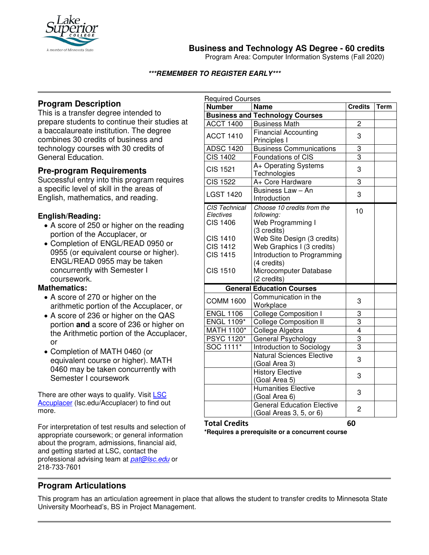

**Business and Technology AS Degree - 60 credits**

Program Area: Computer Information Systems (Fall 2020)

### **\*\*\*REMEMBER TO REGISTER EARLY\*\*\***

## **Program Description**

This is a transfer degree intended to prepare students to continue their studies at a baccalaureate institution. The degree combines 30 credits of business and technology courses with 30 credits of General Education.

## **Pre-program Requirements**

Successful entry into this program requires a specific level of skill in the areas of English, mathematics, and reading.

### **English/Reading:**

- A score of 250 or higher on the reading portion of the Accuplacer, or
- Completion of ENGL/READ 0950 or 0955 (or equivalent course or higher). ENGL/READ 0955 may be taken concurrently with Semester I coursework.

### **Mathematics:**

- A score of 270 or higher on the arithmetic portion of the Accuplacer, or
- A score of 236 or higher on the QAS portion **and** a score of 236 or higher on the Arithmetic portion of the Accuplacer, or
- Completion of MATH 0460 (or equivalent course or higher). MATH 0460 may be taken concurrently with Semester I coursework

There are other ways to qualify. Visit LSC Accuplacer (lsc.edu/Accuplacer) to find out more.

For interpretation of test results and selection of appropriate coursework; or general information about the program, admissions, financial aid, and getting started at LSC, contact the professional advising team at *[pat@lsc.edu](mailto:pat@lsc.edu)* or 218-733-7601

| <b>Required Courses</b>          |                                        |                |             |
|----------------------------------|----------------------------------------|----------------|-------------|
| <b>Number</b>                    | <b>Name</b>                            | <b>Credits</b> | <b>Term</b> |
|                                  | <b>Business and Technology Courses</b> |                |             |
| <b>ACCT 1400</b>                 | <b>Business Math</b>                   | 2              |             |
| <b>ACCT 1410</b>                 | <b>Financial Accounting</b>            | 3              |             |
|                                  | Principles I                           |                |             |
| <b>ADSC 1420</b>                 | <b>Business Communications</b>         | 3              |             |
| <b>CIS 1402</b>                  | Foundations of CIS                     | $\overline{3}$ |             |
| <b>CIS 1521</b>                  | A+ Operating Systems                   | 3              |             |
|                                  | Technologies                           |                |             |
| $\overline{C}$ IS 1522           | A+ Core Hardware                       | 3              |             |
| <b>LGST 1420</b>                 | Business Law - An                      | 3              |             |
|                                  | Introduction                           |                |             |
| CIS Technical                    | Choose 10 credits from the             | 10             |             |
| Electives                        | following:                             |                |             |
| <b>CIS 1406</b>                  | Web Programming I                      |                |             |
|                                  | (3 credits)                            |                |             |
| <b>CIS 1410</b>                  | Web Site Design (3 credits)            |                |             |
| <b>CIS 1412</b>                  | Web Graphics I (3 credits)             |                |             |
| <b>CIS 1415</b>                  | Introduction to Programming            |                |             |
|                                  | (4 credits)                            |                |             |
| <b>CIS 1510</b>                  | Microcomputer Database                 |                |             |
|                                  | (2 credits)                            |                |             |
| <b>General Education Courses</b> |                                        |                |             |
| <b>COMM 1600</b>                 | Communication in the                   | 3              |             |
|                                  | Workplace                              |                |             |
| <b>ENGL 1106</b>                 | <b>College Composition I</b>           | 3              |             |
| <b>ENGL 1109*</b>                | <b>College Composition II</b>          | 3              |             |
| <b>MATH 1100*</b>                | College Algebra                        | $\overline{4}$ |             |
| <b>PSYC 1120*</b>                | General Psychology                     | $\overline{3}$ |             |
| SOC 1111*                        | Introduction to Sociology              | 3              |             |
|                                  | <b>Natural Sciences Elective</b>       | 3              |             |
|                                  | (Goal Area 3)                          |                |             |
|                                  | <b>History Elective</b>                | 3              |             |
|                                  | (Goal Area 5)                          |                |             |
|                                  | Humanities Elective                    | 3              |             |
|                                  | (Goal Area 6)                          |                |             |
|                                  | <b>General Education Elective</b>      | 2              |             |
|                                  | (Goal Areas 3, 5, or 6)                |                |             |

**Total Credits 60 \*Requires a prerequisite or a concurrent course**

# **Program Articulations**

This program has an articulation agreement in place that allows the student to transfer credits to Minnesota State University Moorhead's, BS in Project Management.